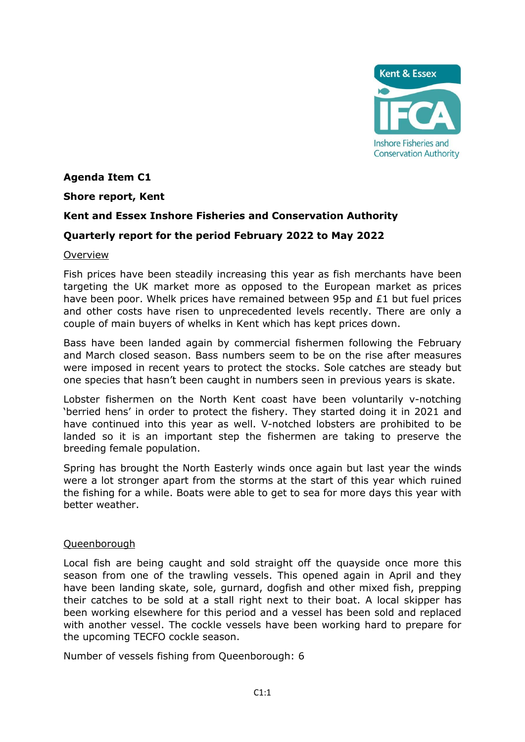

# **Agenda Item C1**

### **Shore report, Kent**

# **Kent and Essex Inshore Fisheries and Conservation Authority**

# **Quarterly report for the period February 2022 to May 2022**

### Overview

Fish prices have been steadily increasing this year as fish merchants have been targeting the UK market more as opposed to the European market as prices have been poor. Whelk prices have remained between 95p and £1 but fuel prices and other costs have risen to unprecedented levels recently. There are only a couple of main buyers of whelks in Kent which has kept prices down.

Bass have been landed again by commercial fishermen following the February and March closed season. Bass numbers seem to be on the rise after measures were imposed in recent years to protect the stocks. Sole catches are steady but one species that hasn't been caught in numbers seen in previous years is skate.

Lobster fishermen on the North Kent coast have been voluntarily v-notching 'berried hens' in order to protect the fishery. They started doing it in 2021 and have continued into this year as well. V-notched lobsters are prohibited to be landed so it is an important step the fishermen are taking to preserve the breeding female population.

Spring has brought the North Easterly winds once again but last year the winds were a lot stronger apart from the storms at the start of this year which ruined the fishing for a while. Boats were able to get to sea for more days this year with better weather.

# Queenborough

Local fish are being caught and sold straight off the quayside once more this season from one of the trawling vessels. This opened again in April and they have been landing skate, sole, gurnard, dogfish and other mixed fish, prepping their catches to be sold at a stall right next to their boat. A local skipper has been working elsewhere for this period and a vessel has been sold and replaced with another vessel. The cockle vessels have been working hard to prepare for the upcoming TECFO cockle season.

Number of vessels fishing from Queenborough: 6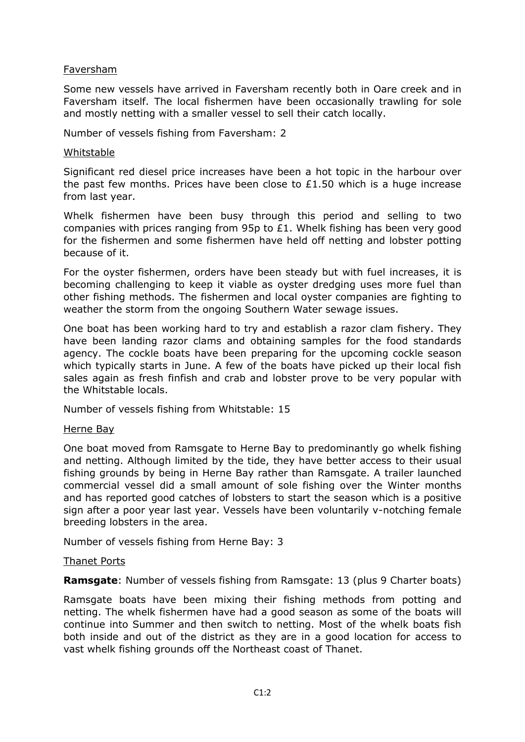# Faversham

Some new vessels have arrived in Faversham recently both in Oare creek and in Faversham itself. The local fishermen have been occasionally trawling for sole and mostly netting with a smaller vessel to sell their catch locally.

Number of vessels fishing from Faversham: 2

#### Whitstable

Significant red diesel price increases have been a hot topic in the harbour over the past few months. Prices have been close to  $£1.50$  which is a huge increase from last year.

Whelk fishermen have been busy through this period and selling to two companies with prices ranging from 95p to £1. Whelk fishing has been very good for the fishermen and some fishermen have held off netting and lobster potting because of it.

For the oyster fishermen, orders have been steady but with fuel increases, it is becoming challenging to keep it viable as oyster dredging uses more fuel than other fishing methods. The fishermen and local oyster companies are fighting to weather the storm from the ongoing Southern Water sewage issues.

One boat has been working hard to try and establish a razor clam fishery. They have been landing razor clams and obtaining samples for the food standards agency. The cockle boats have been preparing for the upcoming cockle season which typically starts in June. A few of the boats have picked up their local fish sales again as fresh finfish and crab and lobster prove to be very popular with the Whitstable locals.

Number of vessels fishing from Whitstable: 15

### Herne Bay

One boat moved from Ramsgate to Herne Bay to predominantly go whelk fishing and netting. Although limited by the tide, they have better access to their usual fishing grounds by being in Herne Bay rather than Ramsgate. A trailer launched commercial vessel did a small amount of sole fishing over the Winter months and has reported good catches of lobsters to start the season which is a positive sign after a poor year last year. Vessels have been voluntarily v-notching female breeding lobsters in the area.

Number of vessels fishing from Herne Bay: 3

### Thanet Ports

**Ramsgate**: Number of vessels fishing from Ramsgate: 13 (plus 9 Charter boats)

Ramsgate boats have been mixing their fishing methods from potting and netting. The whelk fishermen have had a good season as some of the boats will continue into Summer and then switch to netting. Most of the whelk boats fish both inside and out of the district as they are in a good location for access to vast whelk fishing grounds off the Northeast coast of Thanet.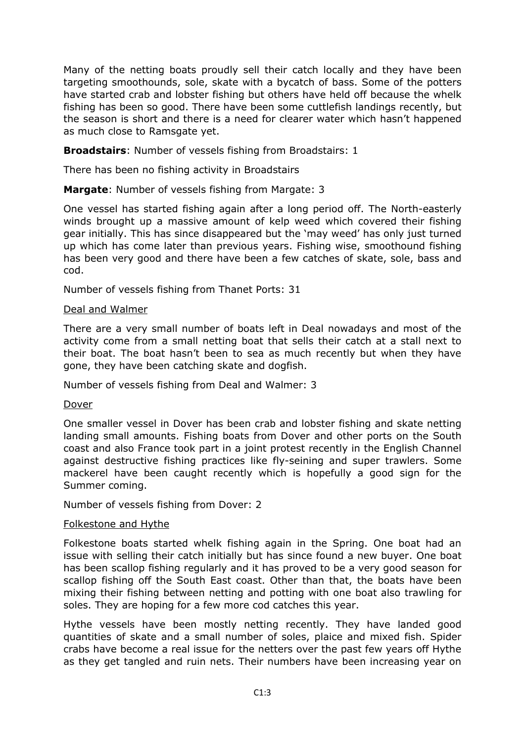Many of the netting boats proudly sell their catch locally and they have been targeting smoothounds, sole, skate with a bycatch of bass. Some of the potters have started crab and lobster fishing but others have held off because the whelk fishing has been so good. There have been some cuttlefish landings recently, but the season is short and there is a need for clearer water which hasn't happened as much close to Ramsgate yet.

**Broadstairs**: Number of vessels fishing from Broadstairs: 1

There has been no fishing activity in Broadstairs

**Margate**: Number of vessels fishing from Margate: 3

One vessel has started fishing again after a long period off. The North-easterly winds brought up a massive amount of kelp weed which covered their fishing gear initially. This has since disappeared but the 'may weed' has only just turned up which has come later than previous years. Fishing wise, smoothound fishing has been very good and there have been a few catches of skate, sole, bass and cod.

Number of vessels fishing from Thanet Ports: 31

# Deal and Walmer

There are a very small number of boats left in Deal nowadays and most of the activity come from a small netting boat that sells their catch at a stall next to their boat. The boat hasn't been to sea as much recently but when they have gone, they have been catching skate and dogfish.

Number of vessels fishing from Deal and Walmer: 3

Dover

One smaller vessel in Dover has been crab and lobster fishing and skate netting landing small amounts. Fishing boats from Dover and other ports on the South coast and also France took part in a joint protest recently in the English Channel against destructive fishing practices like fly-seining and super trawlers. Some mackerel have been caught recently which is hopefully a good sign for the Summer coming.

Number of vessels fishing from Dover: 2

# Folkestone and Hythe

Folkestone boats started whelk fishing again in the Spring. One boat had an issue with selling their catch initially but has since found a new buyer. One boat has been scallop fishing regularly and it has proved to be a very good season for scallop fishing off the South East coast. Other than that, the boats have been mixing their fishing between netting and potting with one boat also trawling for soles. They are hoping for a few more cod catches this year.

Hythe vessels have been mostly netting recently. They have landed good quantities of skate and a small number of soles, plaice and mixed fish. Spider crabs have become a real issue for the netters over the past few years off Hythe as they get tangled and ruin nets. Their numbers have been increasing year on